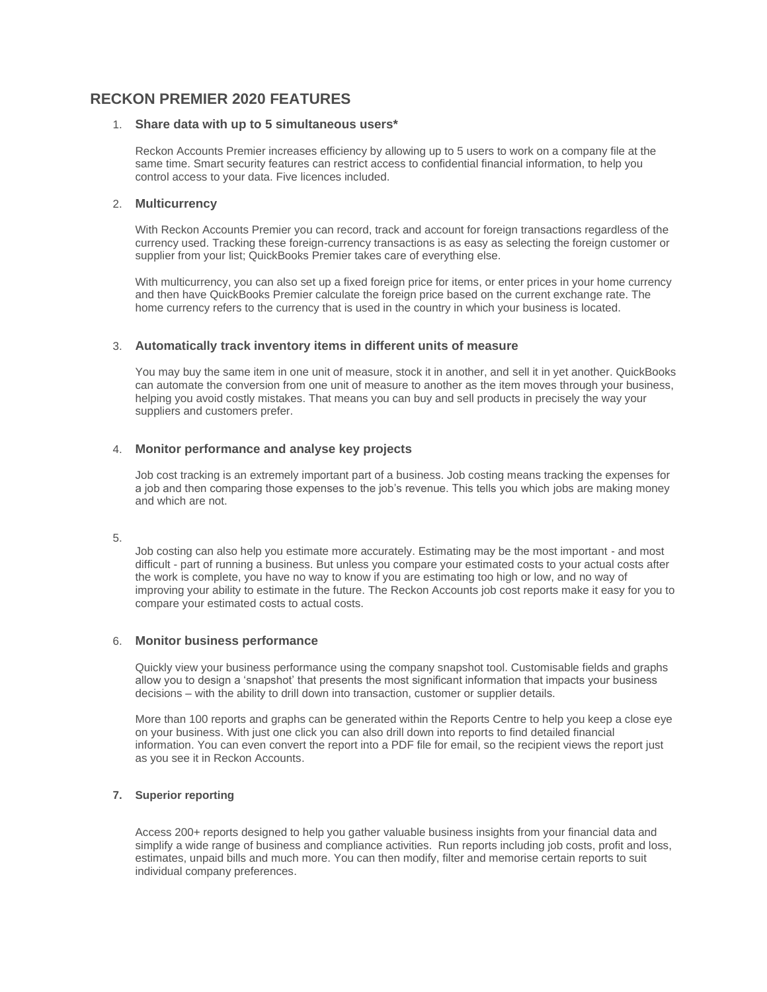# **RECKON PREMIER 2020 FEATURES**

### 1. **Share data with up to 5 simultaneous users\***

Reckon Accounts Premier increases efficiency by allowing up to 5 users to work on a company file at the same time. Smart security features can restrict access to confidential financial information, to help you control access to your data. Five licences included.

## 2. **Multicurrency**

With Reckon Accounts Premier you can record, track and account for foreign transactions regardless of the currency used. Tracking these foreign-currency transactions is as easy as selecting the foreign customer or supplier from your list; QuickBooks Premier takes care of everything else.

With multicurrency, you can also set up a fixed foreign price for items, or enter prices in your home currency and then have QuickBooks Premier calculate the foreign price based on the current exchange rate. The home currency refers to the currency that is used in the country in which your business is located.

## 3. **Automatically track inventory items in different units of measure**

You may buy the same item in one unit of measure, stock it in another, and sell it in yet another. QuickBooks can automate the conversion from one unit of measure to another as the item moves through your business, helping you avoid costly mistakes. That means you can buy and sell products in precisely the way your suppliers and customers prefer.

## 4. **Monitor performance and analyse key projects**

Job cost tracking is an extremely important part of a business. Job costing means tracking the expenses for a job and then comparing those expenses to the job's revenue. This tells you which jobs are making money and which are not.

### 5.

Job costing can also help you estimate more accurately. Estimating may be the most important - and most difficult - part of running a business. But unless you compare your estimated costs to your actual costs after the work is complete, you have no way to know if you are estimating too high or low, and no way of improving your ability to estimate in the future. The Reckon Accounts job cost reports make it easy for you to compare your estimated costs to actual costs.

### 6. **Monitor business performance**

Quickly view your business performance using the company snapshot tool. Customisable fields and graphs allow you to design a 'snapshot' that presents the most significant information that impacts your business decisions – with the ability to drill down into transaction, customer or supplier details.

More than 100 reports and graphs can be generated within the Reports Centre to help you keep a close eye on your business. With just one click you can also drill down into reports to find detailed financial information. You can even convert the report into a PDF file for email, so the recipient views the report just as you see it in Reckon Accounts.

### **7. Superior reporting**

Access 200+ reports designed to help you gather valuable business insights from your financial data and simplify a wide range of business and compliance activities. Run reports including job costs, profit and loss, estimates, unpaid bills and much more. You can then modify, filter and memorise certain reports to suit individual company preferences.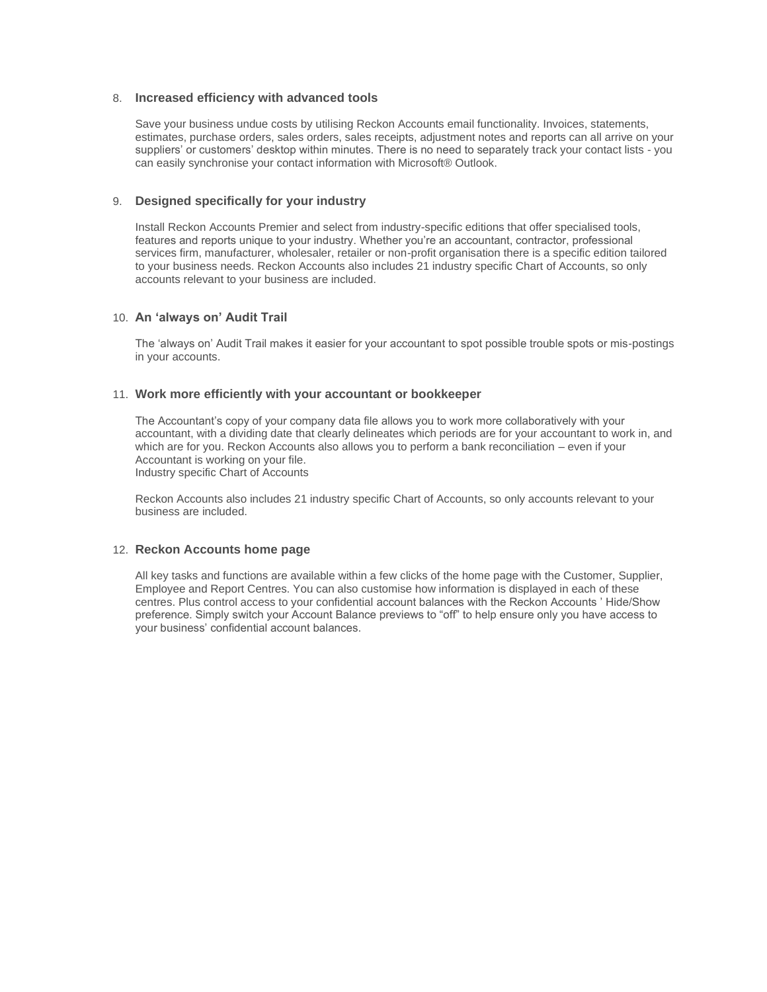#### 8. **Increased efficiency with advanced tools**

Save your business undue costs by utilising Reckon Accounts email functionality. Invoices, statements, estimates, purchase orders, sales orders, sales receipts, adjustment notes and reports can all arrive on your suppliers' or customers' desktop within minutes. There is no need to separately track your contact lists - you can easily synchronise your contact information with Microsoft® Outlook.

## 9. **Designed specifically for your industry**

Install Reckon Accounts Premier and select from industry-specific editions that offer specialised tools, features and reports unique to your industry. Whether you're an accountant, contractor, professional services firm, manufacturer, wholesaler, retailer or non-profit organisation there is a specific edition tailored to your business needs. Reckon Accounts also includes 21 industry specific Chart of Accounts, so only accounts relevant to your business are included.

### 10. **An 'always on' Audit Trail**

The 'always on' Audit Trail makes it easier for your accountant to spot possible trouble spots or mis-postings in your accounts.

### 11. **Work more efficiently with your accountant or bookkeeper**

The Accountant's copy of your company data file allows you to work more collaboratively with your accountant, with a dividing date that clearly delineates which periods are for your accountant to work in, and which are for you. Reckon Accounts also allows you to perform a bank reconciliation – even if your Accountant is working on your file. Industry specific Chart of Accounts

Reckon Accounts also includes 21 industry specific Chart of Accounts, so only accounts relevant to your business are included.

### 12. **Reckon Accounts home page**

All key tasks and functions are available within a few clicks of the home page with the Customer, Supplier, Employee and Report Centres. You can also customise how information is displayed in each of these centres. Plus control access to your confidential account balances with the Reckon Accounts ' Hide/Show preference. Simply switch your Account Balance previews to "off" to help ensure only you have access to your business' confidential account balances.